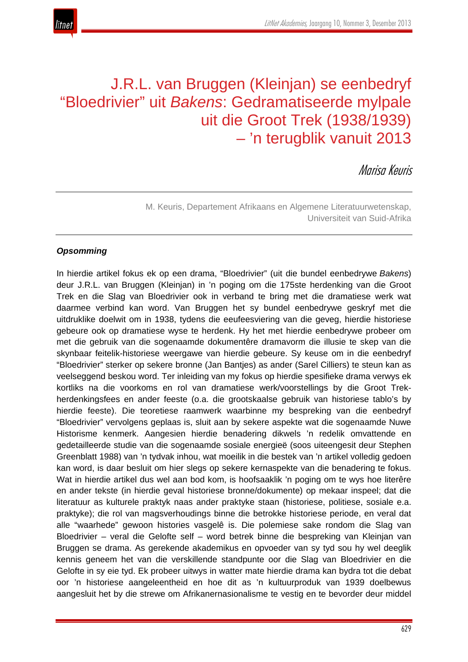# J.R.L. van Bruggen (Kleinjan) se eenbedryf "Bloedrivier" uit *Bakens*: Gedramatiseerde mylpale uit die Groot Trek (1938/1939) – 'n terugblik vanuit 2013

# Marisa Keuris

M. Keuris, Departement Afrikaans en Algemene Literatuurwetenskap, Universiteit van Suid-Afrika

# *Opsomming*

In hierdie artikel fokus ek op een drama, "Bloedrivier" (uit die bundel eenbedrywe *Bakens*) deur J.R.L. van Bruggen (Kleinjan) in 'n poging om die 175ste herdenking van die Groot Trek en die Slag van Bloedrivier ook in verband te bring met die dramatiese werk wat daarmee verbind kan word. Van Bruggen het sy bundel eenbedrywe geskryf met die uitdruklike doelwit om in 1938, tydens die eeufeesviering van die geveg, hierdie historiese gebeure ook op dramatiese wyse te herdenk. Hy het met hierdie eenbedrywe probeer om met die gebruik van die sogenaamde dokumentêre dramavorm die illusie te skep van die skynbaar feitelik-historiese weergawe van hierdie gebeure. Sy keuse om in die eenbedryf "Bloedrivier" sterker op sekere bronne (Jan Bantjes) as ander (Sarel Cilliers) te steun kan as veelseggend beskou word. Ter inleiding van my fokus op hierdie spesifieke drama verwys ek kortliks na die voorkoms en rol van dramatiese werk/voorstellings by die Groot Trekherdenkingsfees en ander feeste (o.a. die grootskaalse gebruik van historiese tablo's by hierdie feeste). Die teoretiese raamwerk waarbinne my bespreking van die eenbedryf "Bloedrivier" vervolgens geplaas is, sluit aan by sekere aspekte wat die sogenaamde Nuwe Historisme kenmerk. Aangesien hierdie benadering dikwels 'n redelik omvattende en gedetailleerde studie van die sogenaamde sosiale energieë (soos uiteengesit deur Stephen Greenblatt 1988) van 'n tydvak inhou, wat moeilik in die bestek van 'n artikel volledig gedoen kan word, is daar besluit om hier slegs op sekere kernaspekte van die benadering te fokus. Wat in hierdie artikel dus wel aan bod kom, is hoofsaaklik 'n poging om te wys hoe literêre en ander tekste (in hierdie geval historiese bronne/dokumente) op mekaar inspeel; dat die literatuur as kulturele praktyk naas ander praktyke staan (historiese, politiese, sosiale e.a. praktyke); die rol van magsverhoudings binne die betrokke historiese periode, en veral dat alle "waarhede" gewoon histories vasgelê is. Die polemiese sake rondom die Slag van Bloedrivier – veral die Gelofte self – word betrek binne die bespreking van Kleinjan van Bruggen se drama. As gerekende akademikus en opvoeder van sy tyd sou hy wel deeglik kennis geneem het van die verskillende standpunte oor die Slag van Bloedrivier en die Gelofte in sy eie tyd. Ek probeer uitwys in watter mate hierdie drama kan bydra tot die debat oor 'n historiese aangeleentheid en hoe dit as 'n kultuurproduk van 1939 doelbewus aangesluit het by die strewe om Afrikanernasionalisme te vestig en te bevorder deur middel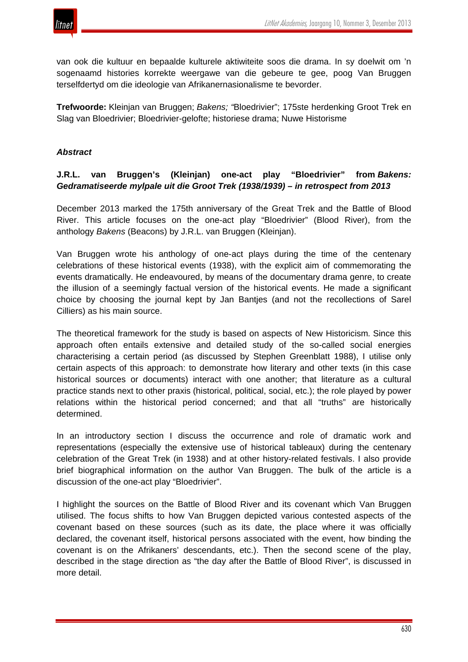

van ook die kultuur en bepaalde kulturele aktiwiteite soos die drama. In sy doelwit om 'n sogenaamd histories korrekte weergawe van die gebeure te gee, poog Van Bruggen terselfdertyd om die ideologie van Afrikanernasionalisme te bevorder.

**Trefwoorde:** Kleinjan van Bruggen; *Bakens; "*Bloedrivier"; 175ste herdenking Groot Trek en Slag van Bloedrivier; Bloedrivier-gelofte; historiese drama; Nuwe Historisme

### *Abstract*

# **J.R.L. van Bruggen's (Kleinjan) one-act play "Bloedrivier" from** *Bakens: Gedramatiseerde mylpale uit die Groot Trek (1938/1939) – in retrospect from 2013*

December 2013 marked the 175th anniversary of the Great Trek and the Battle of Blood River. This article focuses on the one-act play "Bloedrivier" (Blood River), from the anthology *Bakens* (Beacons) by J.R.L. van Bruggen (Kleinjan).

Van Bruggen wrote his anthology of one-act plays during the time of the centenary celebrations of these historical events (1938), with the explicit aim of commemorating the events dramatically. He endeavoured, by means of the documentary drama genre, to create the illusion of a seemingly factual version of the historical events. He made a significant choice by choosing the journal kept by Jan Bantjes (and not the recollections of Sarel Cilliers) as his main source.

The theoretical framework for the study is based on aspects of New Historicism*.* Since this approach often entails extensive and detailed study of the so-called social energies characterising a certain period (as discussed by Stephen Greenblatt 1988), I utilise only certain aspects of this approach: to demonstrate how literary and other texts (in this case historical sources or documents) interact with one another; that literature as a cultural practice stands next to other praxis (historical, political, social, etc.); the role played by power relations within the historical period concerned; and that all "truths" are historically determined.

In an introductory section I discuss the occurrence and role of dramatic work and representations (especially the extensive use of historical tableaux) during the centenary celebration of the Great Trek (in 1938) and at other history-related festivals. I also provide brief biographical information on the author Van Bruggen. The bulk of the article is a discussion of the one-act play "Bloedrivier".

I highlight the sources on the Battle of Blood River and its covenant which Van Bruggen utilised. The focus shifts to how Van Bruggen depicted various contested aspects of the covenant based on these sources (such as its date, the place where it was officially declared, the covenant itself, historical persons associated with the event, how binding the covenant is on the Afrikaners' descendants, etc.). Then the second scene of the play, described in the stage direction as "the day after the Battle of Blood River", is discussed in more detail.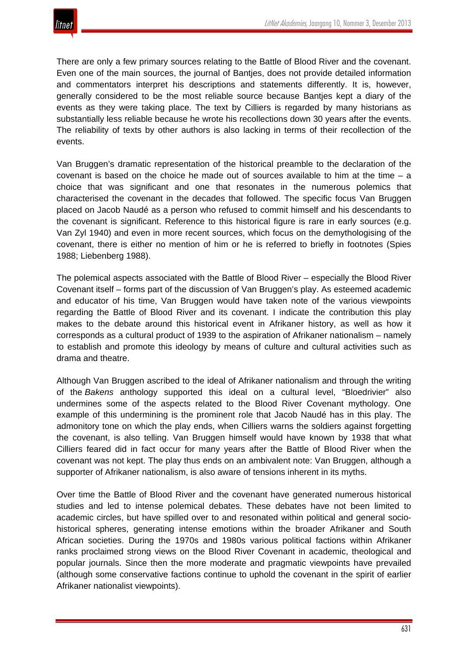There are only a few primary sources relating to the Battle of Blood River and the covenant. Even one of the main sources, the journal of Bantjes, does not provide detailed information and commentators interpret his descriptions and statements differently. It is, however, generally considered to be the most reliable source because Bantjes kept a diary of the events as they were taking place. The text by Cilliers is regarded by many historians as substantially less reliable because he wrote his recollections down 30 years after the events. The reliability of texts by other authors is also lacking in terms of their recollection of the events.

Van Bruggen's dramatic representation of the historical preamble to the declaration of the covenant is based on the choice he made out of sources available to him at the time  $-$  a choice that was significant and one that resonates in the numerous polemics that characterised the covenant in the decades that followed. The specific focus Van Bruggen placed on Jacob Naudé as a person who refused to commit himself and his descendants to the covenant is significant. Reference to this historical figure is rare in early sources (e.g. Van Zyl 1940) and even in more recent sources, which focus on the demythologising of the covenant, there is either no mention of him or he is referred to briefly in footnotes (Spies 1988; Liebenberg 1988).

The polemical aspects associated with the Battle of Blood River – especially the Blood River Covenant itself – forms part of the discussion of Van Bruggen's play. As esteemed academic and educator of his time, Van Bruggen would have taken note of the various viewpoints regarding the Battle of Blood River and its covenant. I indicate the contribution this play makes to the debate around this historical event in Afrikaner history, as well as how it corresponds as a cultural product of 1939 to the aspiration of Afrikaner nationalism – namely to establish and promote this ideology by means of culture and cultural activities such as drama and theatre.

Although Van Bruggen ascribed to the ideal of Afrikaner nationalism and through the writing of the *Bakens* anthology supported this ideal on a cultural level, "Bloedrivier" also undermines some of the aspects related to the Blood River Covenant mythology. One example of this undermining is the prominent role that Jacob Naudé has in this play. The admonitory tone on which the play ends, when Cilliers warns the soldiers against forgetting the covenant, is also telling. Van Bruggen himself would have known by 1938 that what Cilliers feared did in fact occur for many years after the Battle of Blood River when the covenant was not kept. The play thus ends on an ambivalent note: Van Bruggen, although a supporter of Afrikaner nationalism, is also aware of tensions inherent in its myths.

Over time the Battle of Blood River and the covenant have generated numerous historical studies and led to intense polemical debates. These debates have not been limited to academic circles, but have spilled over to and resonated within political and general sociohistorical spheres, generating intense emotions within the broader Afrikaner and South African societies. During the 1970s and 1980s various political factions within Afrikaner ranks proclaimed strong views on the Blood River Covenant in academic, theological and popular journals. Since then the more moderate and pragmatic viewpoints have prevailed (although some conservative factions continue to uphold the covenant in the spirit of earlier Afrikaner nationalist viewpoints).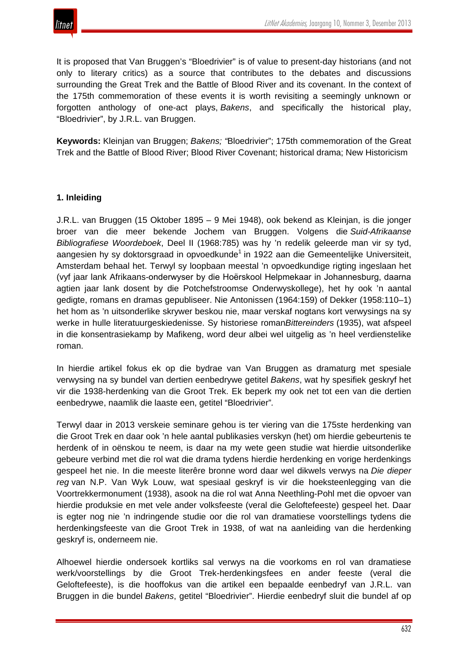

It is proposed that Van Bruggen's "Bloedrivier" is of value to present-day historians (and not only to literary critics) as a source that contributes to the debates and discussions surrounding the Great Trek and the Battle of Blood River and its covenant. In the context of the 175th commemoration of these events it is worth revisiting a seemingly unknown or forgotten anthology of one-act plays, *Bakens*, and specifically the historical play, "Bloedrivier", by J.R.L. van Bruggen.

**Keywords:** Kleinjan van Bruggen; *Bakens; "*Bloedrivier"; 175th commemoration of the Great Trek and the Battle of Blood River; Blood River Covenant; historical drama; New Historicism

# **1. Inleiding**

J.R.L. van Bruggen (15 Oktober 1895 – 9 Mei 1948), ook bekend as Kleinjan, is die jonger broer van die meer bekende Jochem van Bruggen. Volgens die *Suid-Afrikaanse Bibliografiese Woordeboek*, Deel II (1968:785) was hy 'n redelik geleerde man vir sy tyd, aangesien hy sy doktorsgraad in opvoedkunde<sup>1</sup> in 1922 aan die Gemeentelijke Universiteit, Amsterdam behaal het. Terwyl sy loopbaan meestal 'n opvoedkundige rigting ingeslaan het (vyf jaar lank Afrikaans-onderwyser by die Hoёrskool Helpmekaar in Johannesburg, daarna agtien jaar lank dosent by die Potchefstroomse Onderwyskollege), het hy ook 'n aantal gedigte, romans en dramas gepubliseer. Nie Antonissen (1964:159) of Dekker (1958:110–1) het hom as 'n uitsonderlike skrywer beskou nie, maar verskaf nogtans kort verwysings na sy werke in hulle literatuurgeskiedenisse. Sy historiese roman*Bittereinders* (1935), wat afspeel in die konsentrasiekamp by Mafikeng, word deur albei wel uitgelig as 'n heel verdienstelike roman.

In hierdie artikel fokus ek op die bydrae van Van Bruggen as dramaturg met spesiale verwysing na sy bundel van dertien eenbedrywe getitel *Bakens*, wat hy spesifiek geskryf het vir die 1938-herdenking van die Groot Trek. Ek beperk my ook net tot een van die dertien eenbedrywe, naamlik die laaste een, getitel "Bloedrivier"*.*

Terwyl daar in 2013 verskeie seminare gehou is ter viering van die 175ste herdenking van die Groot Trek en daar ook 'n hele aantal publikasies verskyn (het) om hierdie gebeurtenis te herdenk of in oënskou te neem, is daar na my wete geen studie wat hierdie uitsonderlike gebeure verbind met die rol wat die drama tydens hierdie herdenking en vorige herdenkings gespeel het nie. In die meeste literêre bronne word daar wel dikwels verwys na *Die dieper reg* van N.P. Van Wyk Louw, wat spesiaal geskryf is vir die hoeksteenlegging van die Voortrekkermonument (1938), asook na die rol wat Anna Neethling-Pohl met die opvoer van hierdie produksie en met vele ander volksfeeste (veral die Geloftefeeste) gespeel het. Daar is egter nog nie 'n indringende studie oor die rol van dramatiese voorstellings tydens die herdenkingsfeeste van die Groot Trek in 1938, of wat na aanleiding van die herdenking geskryf is, onderneem nie.

Alhoewel hierdie ondersoek kortliks sal verwys na die voorkoms en rol van dramatiese werk/voorstellings by die Groot Trek-herdenkingsfees en ander feeste (veral die Geloftefeeste), is die hooffokus van die artikel een bepaalde eenbedryf van J.R.L. van Bruggen in die bundel *Bakens*, getitel "Bloedrivier". Hierdie eenbedryf sluit die bundel af op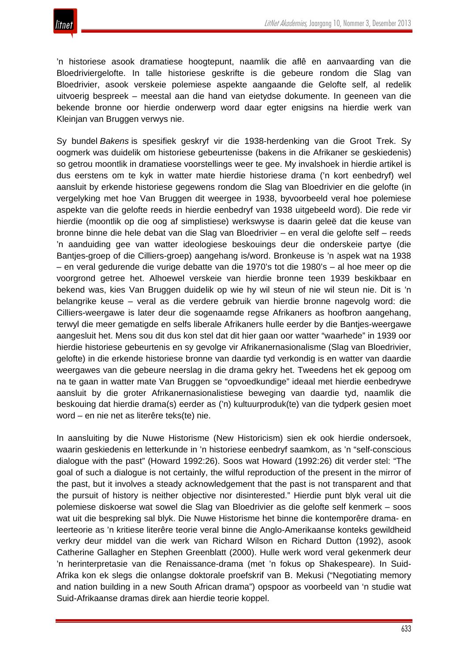'n historiese asook dramatiese hoogtepunt, naamlik die aflê en aanvaarding van die Bloedriviergelofte. In talle historiese geskrifte is die gebeure rondom die Slag van Bloedrivier, asook verskeie polemiese aspekte aangaande die Gelofte self, al redelik uitvoerig bespreek – meestal aan die hand van eietydse dokumente. In geeneen van die bekende bronne oor hierdie onderwerp word daar egter enigsins na hierdie werk van Kleinjan van Bruggen verwys nie.

Sy bundel *Bakens* is spesifiek geskryf vir die 1938-herdenking van die Groot Trek. Sy oogmerk was duidelik om historiese gebeurtenisse (bakens in die Afrikaner se geskiedenis) so getrou moontlik in dramatiese voorstellings weer te gee. My invalshoek in hierdie artikel is dus eerstens om te kyk in watter mate hierdie historiese drama ('n kort eenbedryf) wel aansluit by erkende historiese gegewens rondom die Slag van Bloedrivier en die gelofte (in vergelyking met hoe Van Bruggen dit weergee in 1938, byvoorbeeld veral hoe polemiese aspekte van die gelofte reeds in hierdie eenbedryf van 1938 uitgebeeld word). Die rede vir hierdie (moontlik op die oog af simplistiese) werkswyse is daarin geleë dat die keuse van bronne binne die hele debat van die Slag van Bloedrivier – en veral die gelofte self – reeds 'n aanduiding gee van watter ideologiese beskouings deur die onderskeie partye (die Bantjes-groep of die Cilliers-groep) aangehang is/word. Bronkeuse is 'n aspek wat na 1938 – en veral gedurende die vurige debatte van die 1970's tot die 1980's – al hoe meer op die voorgrond getree het. Alhoewel verskeie van hierdie bronne teen 1939 beskikbaar en bekend was, kies Van Bruggen duidelik op wie hy wil steun of nie wil steun nie. Dit is 'n belangrike keuse – veral as die verdere gebruik van hierdie bronne nagevolg word: die Cilliers-weergawe is later deur die sogenaamde regse Afrikaners as hoofbron aangehang, terwyl die meer gematigde en selfs liberale Afrikaners hulle eerder by die Bantjes-weergawe aangesluit het. Mens sou dit dus kon stel dat dit hier gaan oor watter "waarhede" in 1939 oor hierdie historiese gebeurtenis en sy gevolge vir Afrikanernasionalisme (Slag van Bloedrivier, gelofte) in die erkende historiese bronne van daardie tyd verkondig is en watter van daardie weergawes van die gebeure neerslag in die drama gekry het. Tweedens het ek gepoog om na te gaan in watter mate Van Bruggen se "opvoedkundige" ideaal met hierdie eenbedrywe aansluit by die groter Afrikanernasionalistiese beweging van daardie tyd, naamlik die beskouing dat hierdie drama(s) eerder as ('n) kultuurproduk(te) van die tydperk gesien moet word – en nie net as literêre teks(te) nie.

In aansluiting by die Nuwe Historisme (New Historicism) sien ek ook hierdie ondersoek, waarin geskiedenis en letterkunde in 'n historiese eenbedryf saamkom, as 'n "self-conscious dialogue with the past" (Howard 1992:26). Soos wat Howard (1992:26) dit verder stel: "The goal of such a dialogue is not certainly, the wilful reproduction of the present in the mirror of the past, but it involves a steady acknowledgement that the past is not transparent and that the pursuit of history is neither objective nor disinterested." Hierdie punt blyk veral uit die polemiese diskoerse wat sowel die Slag van Bloedrivier as die gelofte self kenmerk – soos wat uit die bespreking sal blyk. Die Nuwe Historisme het binne die kontemporêre drama- en leerteorie as 'n kritiese literêre teorie veral binne die Anglo-Amerikaanse konteks gewildheid verkry deur middel van die werk van Richard Wilson en Richard Dutton (1992), asook Catherine Gallagher en Stephen Greenblatt (2000). Hulle werk word veral gekenmerk deur 'n herinterpretasie van die Renaissance-drama (met 'n fokus op Shakespeare). In Suid-Afrika kon ek slegs die onlangse doktorale proefskrif van B. Mekusi ("Negotiating memory and nation building in a new South African drama") opspoor as voorbeeld van 'n studie wat Suid-Afrikaanse dramas direk aan hierdie teorie koppel.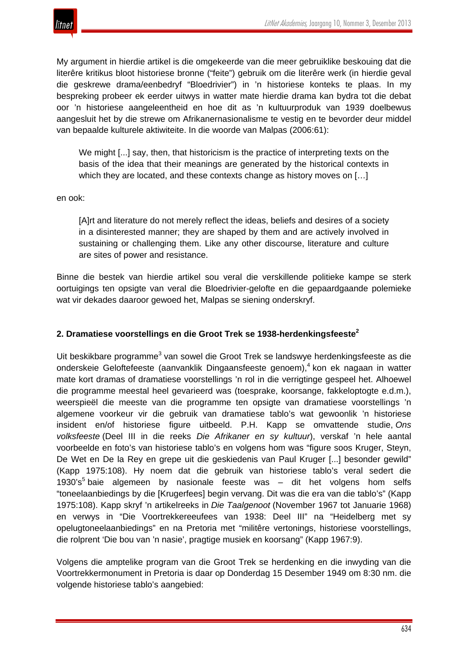

My argument in hierdie artikel is die omgekeerde van die meer gebruiklike beskouing dat die literêre kritikus bloot historiese bronne ("feite") gebruik om die literêre werk (in hierdie geval die geskrewe drama/eenbedryf "Bloedrivier") in 'n historiese konteks te plaas. In my bespreking probeer ek eerder uitwys in watter mate hierdie drama kan bydra tot die debat oor 'n historiese aangeleentheid en hoe dit as 'n kultuurproduk van 1939 doelbewus aangesluit het by die strewe om Afrikanernasionalisme te vestig en te bevorder deur middel van bepaalde kulturele aktiwiteite. In die woorde van Malpas (2006:61):

We might [...] say, then, that historicism is the practice of interpreting texts on the basis of the idea that their meanings are generated by the historical contexts in which they are located, and these contexts change as history moves on [...]

#### en ook:

[A]rt and literature do not merely reflect the ideas, beliefs and desires of a society in a disinterested manner; they are shaped by them and are actively involved in sustaining or challenging them. Like any other discourse, literature and culture are sites of power and resistance.

Binne die bestek van hierdie artikel sou veral die verskillende politieke kampe se sterk oortuigings ten opsigte van veral die Bloedrivier-gelofte en die gepaardgaande polemieke wat vir dekades daaroor gewoed het, Malpas se siening onderskryf.

## **2. Dramatiese voorstellings en die Groot Trek se 1938-herdenkingsfeeste<sup>2</sup>**

Uit beskikbare programme<sup>3</sup> van sowel die Groot Trek se landswye herdenkingsfeeste as die onderskeie Geloftefeeste (aanvanklik Dingaansfeeste genoem),<sup>4</sup> kon ek nagaan in watter mate kort dramas of dramatiese voorstellings 'n rol in die verrigtinge gespeel het. Alhoewel die programme meestal heel gevarieerd was (toesprake, koorsange, fakkeloptogte e.d.m.), weerspieël die meeste van die programme ten opsigte van dramatiese voorstellings 'n algemene voorkeur vir die gebruik van dramatiese tablo's wat gewoonlik 'n historiese insident en/of historiese figure uitbeeld. P.H. Kapp se omvattende studie, *Ons volksfeeste* (Deel III in die reeks *Die Afrikaner en sy kultuur*), verskaf 'n hele aantal voorbeelde en foto's van historiese tablo's en volgens hom was "figure soos Kruger, Steyn, De Wet en De la Rey en grepe uit die geskiedenis van Paul Kruger [...] besonder gewild" (Kapp 1975:108). Hy noem dat die gebruik van historiese tablo's veral sedert die 1930's<sup>5</sup> baie algemeen by nasionale feeste was  $-$  dit het volgens hom selfs "toneelaanbiedings by die [Krugerfees] begin vervang. Dit was die era van die tablo's" (Kapp 1975:108). Kapp skryf 'n artikelreeks in *Die Taalgenoot* (November 1967 tot Januarie 1968) en verwys in "Die Voortrekkereeufees van 1938: Deel III" na "Heidelberg met sy opelugtoneelaanbiedings" en na Pretoria met "militêre vertonings, historiese voorstellings, die rolprent 'Die bou van 'n nasie', pragtige musiek en koorsang" (Kapp 1967:9).

Volgens die amptelike program van die Groot Trek se herdenking en die inwyding van die Voortrekkermonument in Pretoria is daar op Donderdag 15 Desember 1949 om 8:30 nm. die volgende historiese tablo's aangebied: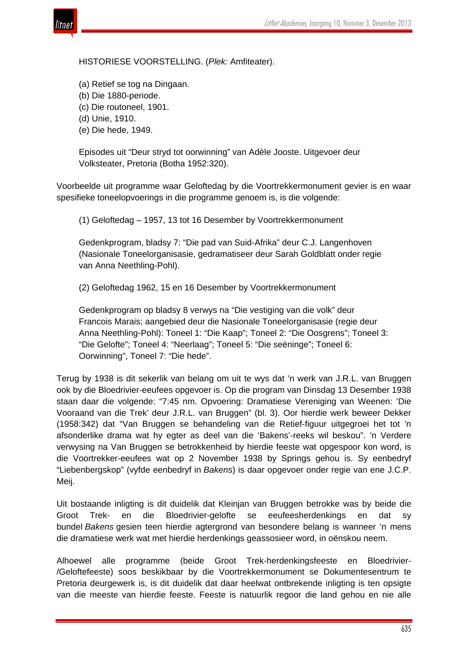

HISTORIESE VOORSTELLING. (*Plek:* Amfiteater).

(a) Retief se tog na Dingaan.

(b) Die 1880-periode.

(c) Die routoneel, 1901.

(d) Unie, 1910.

(e) Die hede, 1949.

Episodes uit "Deur stryd tot oorwinning" van Adèle Jooste. Uitgevoer deur Volksteater, Pretoria (Botha 1952:320).

Voorbeelde uit programme waar Geloftedag by die Voortrekkermonument gevier is en waar spesifieke toneelopvoerings in die programme genoem is, is die volgende:

(1) Geloftedag – 1957, 13 tot 16 Desember by Voortrekkermonument

Gedenkprogram, bladsy 7: "Die pad van Suid-Afrika" deur C.J. Langenhoven (Nasionale Toneelorganisasie, gedramatiseer deur Sarah Goldblatt onder regie van Anna Neethling-Pohl).

(2) Geloftedag 1962, 15 en 16 Desember by Voortrekkermonument

Gedenkprogram op bladsy 8 verwys na "Die vestiging van die volk" deur Francois Marais; aangebied deur die Nasionale Toneelorganisasie (regie deur Anna Neethling-Pohl): Toneel 1: "Die Kaap"; Toneel 2: "Die Oosgrens"; Toneel 3: "Die Gelofte"; Toneel 4: "Neerlaag"; Toneel 5: "Die seëninge"; Toneel 6: Oorwinning", Toneel 7: "Die hede".

Terug by 1938 is dit sekerlik van belang om uit te wys dat 'n werk van J.R.L. van Bruggen ook by die Bloedrivier-eeufees opgevoer is. Op die program van Dinsdag 13 Desember 1938 staan daar die volgende: "7:45 nm. Opvoering: Dramatiese Vereniging van Weenen: 'Die Vooraand van die Trek' deur J.R.L. van Bruggen" (bl. 3). Oor hierdie werk beweer Dekker (1958:342) dat "Van Bruggen se behandeling van die Retief-figuur uitgegroei het tot 'n afsonderlike drama wat hy egter as deel van die 'Bakens'-reeks wil beskou". 'n Verdere verwysing na Van Bruggen se betrokkenheid by hierdie feeste wat opgespoor kon word, is die Voortrekker-eeufees wat op 2 November 1938 by Springs gehou is. Sy eenbedryf "Liebenbergskop" (vyfde eenbedryf in *Bakens*) is daar opgevoer onder regie van ene J.C.P. Meij.

Uit bostaande inligting is dit duidelik dat Kleinjan van Bruggen betrokke was by beide die Groot Trek- en die Bloedrivier-gelofte se eeufeesherdenkings en dat sy bundel *Bakens* gesien teen hierdie agtergrond van besondere belang is wanneer 'n mens die dramatiese werk wat met hierdie herdenkings geassosieer word, in oënskou neem.

Alhoewel alle programme (beide Groot Trek-herdenkingsfeeste en Bloedrivier- /Geloftefeeste) soos beskikbaar by die Voortrekkermonument se Dokumentesentrum te Pretoria deurgewerk is, is dit duidelik dat daar heelwat ontbrekende inligting is ten opsigte van die meeste van hierdie feeste. Feeste is natuurlik regoor die land gehou en nie alle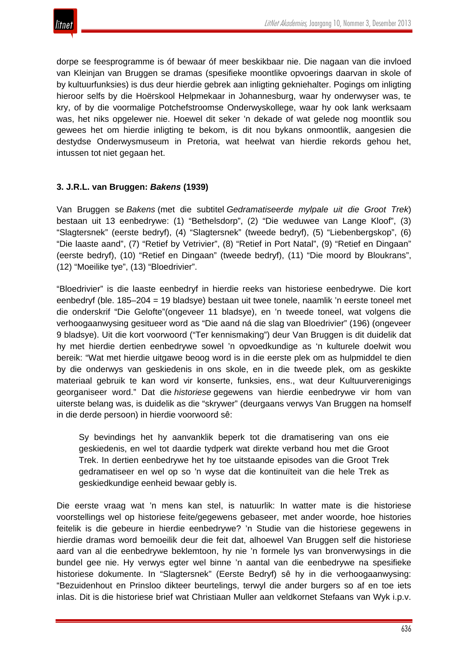dorpe se feesprogramme is óf bewaar óf meer beskikbaar nie. Die nagaan van die invloed van Kleinjan van Bruggen se dramas (spesifieke moontlike opvoerings daarvan in skole of by kultuurfunksies) is dus deur hierdie gebrek aan inligting gekniehalter. Pogings om inligting hieroor selfs by die Hoërskool Helpmekaar in Johannesburg, waar hy onderwyser was, te kry, of by die voormalige Potchefstroomse Onderwyskollege, waar hy ook lank werksaam was, het niks opgelewer nie. Hoewel dit seker 'n dekade of wat gelede nog moontlik sou gewees het om hierdie inligting te bekom, is dit nou bykans onmoontlik, aangesien die destydse Onderwysmuseum in Pretoria, wat heelwat van hierdie rekords gehou het, intussen tot niet gegaan het.

# **3. J.R.L. van Bruggen:** *Bakens* **(1939)**

Van Bruggen se *Bakens* (met die subtitel *Gedramatiseerde mylpale uit die Groot Trek*) bestaan uit 13 eenbedrywe: (1) "Bethelsdorp", (2) "Die weduwee van Lange Kloof", (3) "Slagtersnek" (eerste bedryf), (4) "Slagtersnek" (tweede bedryf), (5) "Liebenbergskop", (6) "Die laaste aand", (7) "Retief by Vetrivier", (8) "Retief in Port Natal", (9) "Retief en Dingaan" (eerste bedryf), (10) "Retief en Dingaan" (tweede bedryf), (11) "Die moord by Bloukrans", (12) "Moeilike tye", (13) "Bloedrivier".

"Bloedrivier" is die laaste eenbedryf in hierdie reeks van historiese eenbedrywe. Die kort eenbedryf (ble. 185–204 = 19 bladsye) bestaan uit twee tonele, naamlik 'n eerste toneel met die onderskrif "Die Gelofte"(ongeveer 11 bladsye), en 'n tweede toneel, wat volgens die verhoogaanwysing gesitueer word as "Die aand ná die slag van Bloedrivier" (196) (ongeveer 9 bladsye). Uit die kort voorwoord ("Ter kennismaking") deur Van Bruggen is dit duidelik dat hy met hierdie dertien eenbedrywe sowel 'n opvoedkundige as 'n kulturele doelwit wou bereik: "Wat met hierdie uitgawe beoog word is in die eerste plek om as hulpmiddel te dien by die onderwys van geskiedenis in ons skole, en in die tweede plek, om as geskikte materiaal gebruik te kan word vir konserte, funksies, ens., wat deur Kultuurverenigings georganiseer word." Dat die *historiese* gegewens van hierdie eenbedrywe vir hom van uiterste belang was, is duidelik as die "skrywer" (deurgaans verwys Van Bruggen na homself in die derde persoon) in hierdie voorwoord sê:

Sy bevindings het hy aanvanklik beperk tot die dramatisering van ons eie geskiedenis, en wel tot daardie tydperk wat direkte verband hou met die Groot Trek. In dertien eenbedrywe het hy toe uitstaande episodes van die Groot Trek gedramatiseer en wel op so 'n wyse dat die kontinuïteit van die hele Trek as geskiedkundige eenheid bewaar gebly is.

Die eerste vraag wat 'n mens kan stel, is natuurlik: In watter mate is die historiese voorstellings wel op historiese feite/gegewens gebaseer, met ander woorde, hoe histories feitelik is die gebeure in hierdie eenbedrywe? 'n Studie van die historiese gegewens in hierdie dramas word bemoeilik deur die feit dat, alhoewel Van Bruggen self die historiese aard van al die eenbedrywe beklemtoon, hy nie 'n formele lys van bronverwysings in die bundel gee nie. Hy verwys egter wel binne 'n aantal van die eenbedrywe na spesifieke historiese dokumente. In "Slagtersnek" (Eerste Bedryf) sê hy in die verhoogaanwysing: "Bezuidenhout en Prinsloo dikteer beurtelings, terwyl die ander burgers so af en toe iets inlas. Dit is die historiese brief wat Christiaan Muller aan veldkornet Stefaans van Wyk i.p.v.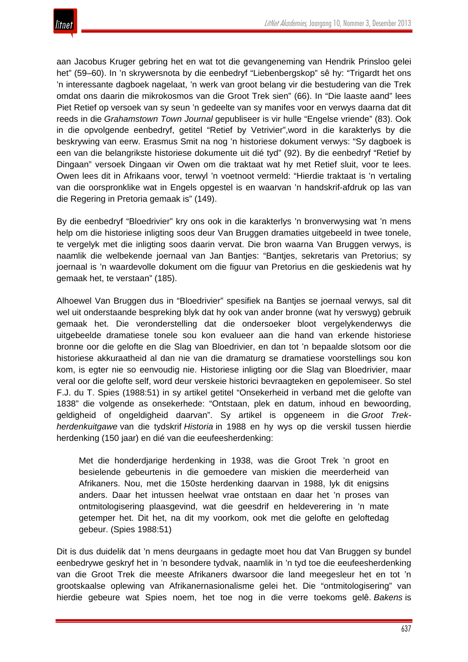

aan Jacobus Kruger gebring het en wat tot die gevangeneming van Hendrik Prinsloo gelei het" (59–60). In 'n skrywersnota by die eenbedryf "Liebenbergskop" sê hy: "Trigardt het ons 'n interessante dagboek nagelaat, 'n werk van groot belang vir die bestudering van die Trek omdat ons daarin die mikrokosmos van die Groot Trek sien" (66). In "Die laaste aand" lees Piet Retief op versoek van sy seun 'n gedeelte van sy manifes voor en verwys daarna dat dit reeds in die *Grahamstown Town Journal* gepubliseer is vir hulle "Engelse vriende" (83). Ook in die opvolgende eenbedryf, getitel "Retief by Vetrivier",word in die karakterlys by die beskrywing van eerw. Erasmus Smit na nog 'n historiese dokument verwys: "Sy dagboek is een van die belangrikste historiese dokumente uit dié tyd" (92). By die eenbedryf "Retief by Dingaan" versoek Dingaan vir Owen om die traktaat wat hy met Retief sluit, voor te lees. Owen lees dit in Afrikaans voor, terwyl 'n voetnoot vermeld: "Hierdie traktaat is 'n vertaling van die oorspronklike wat in Engels opgestel is en waarvan 'n handskrif-afdruk op las van die Regering in Pretoria gemaak is" (149).

By die eenbedryf "Bloedrivier" kry ons ook in die karakterlys 'n bronverwysing wat 'n mens help om die historiese inligting soos deur Van Bruggen dramaties uitgebeeld in twee tonele, te vergelyk met die inligting soos daarin vervat. Die bron waarna Van Bruggen verwys, is naamlik die welbekende joernaal van Jan Bantjes: "Bantjes, sekretaris van Pretorius; sy joernaal is 'n waardevolle dokument om die figuur van Pretorius en die geskiedenis wat hy gemaak het, te verstaan" (185).

Alhoewel Van Bruggen dus in "Bloedrivier" spesifiek na Bantjes se joernaal verwys, sal dit wel uit onderstaande bespreking blyk dat hy ook van ander bronne (wat hy verswyg) gebruik gemaak het. Die veronderstelling dat die ondersoeker bloot vergelykenderwys die uitgebeelde dramatiese tonele sou kon evalueer aan die hand van erkende historiese bronne oor die gelofte en die Slag van Bloedrivier, en dan tot 'n bepaalde slotsom oor die historiese akkuraatheid al dan nie van die dramaturg se dramatiese voorstellings sou kon kom, is egter nie so eenvoudig nie. Historiese inligting oor die Slag van Bloedrivier, maar veral oor die gelofte self, word deur verskeie historici bevraagteken en gepolemiseer. So stel F.J. du T. Spies (1988:51) in sy artikel getitel "Onsekerheid in verband met die gelofte van 1838" die volgende as onsekerhede: "Ontstaan, plek en datum, inhoud en bewoording, geldigheid of ongeldigheid daarvan". Sy artikel is opgeneem in die *Groot Trekherdenkuitgawe* van die tydskrif *Historia* in 1988 en hy wys op die verskil tussen hierdie herdenking (150 jaar) en dié van die eeufeesherdenking:

Met die honderdjarige herdenking in 1938, was die Groot Trek 'n groot en besielende gebeurtenis in die gemoedere van miskien die meerderheid van Afrikaners. Nou, met die 150ste herdenking daarvan in 1988, lyk dit enigsins anders. Daar het intussen heelwat vrae ontstaan en daar het 'n proses van ontmitologisering plaasgevind, wat die geesdrif en heldeverering in 'n mate getemper het. Dit het, na dit my voorkom, ook met die gelofte en geloftedag gebeur. (Spies 1988:51)

Dit is dus duidelik dat 'n mens deurgaans in gedagte moet hou dat Van Bruggen sy bundel eenbedrywe geskryf het in 'n besondere tydvak, naamlik in 'n tyd toe die eeufeesherdenking van die Groot Trek die meeste Afrikaners dwarsoor die land meegesleur het en tot 'n grootskaalse oplewing van Afrikanernasionalisme gelei het. Die "ontmitologisering" van hierdie gebeure wat Spies noem, het toe nog in die verre toekoms gelê. *Bakens* is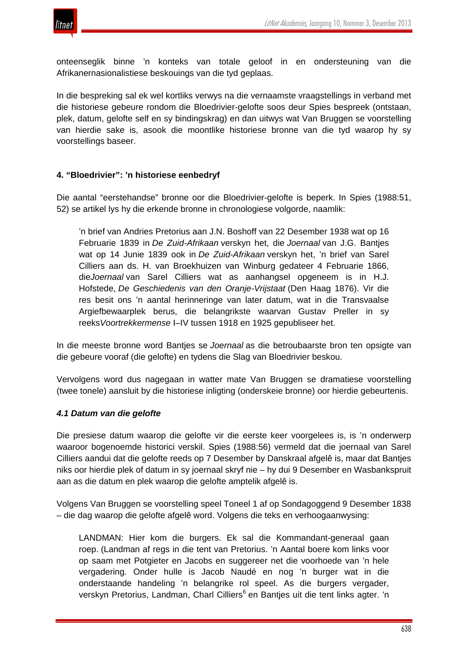

onteenseglik binne 'n konteks van totale geloof in en ondersteuning van die Afrikanernasionalistiese beskouings van die tyd geplaas.

In die bespreking sal ek wel kortliks verwys na die vernaamste vraagstellings in verband met die historiese gebeure rondom die Bloedrivier-gelofte soos deur Spies bespreek (ontstaan, plek, datum, gelofte self en sy bindingskrag) en dan uitwys wat Van Bruggen se voorstelling van hierdie sake is, asook die moontlike historiese bronne van die tyd waarop hy sy voorstellings baseer.

# **4. "Bloedrivier": 'n historiese eenbedryf**

Die aantal "eerstehandse" bronne oor die Bloedrivier-gelofte is beperk. In Spies (1988:51, 52) se artikel lys hy die erkende bronne in chronologiese volgorde, naamlik:

'n brief van Andries Pretorius aan J.N. Boshoff van 22 Desember 1938 wat op 16 Februarie 1839 in *De Zuid-Afrikaan* verskyn het, die *Joernaal* van J.G. Bantjes wat op 14 Junie 1839 ook in *De Zuid-Afrikaan* verskyn het, 'n brief van Sarel Cilliers aan ds. H. van Broekhuizen van Winburg gedateer 4 Februarie 1866, die*Joernaal* van Sarel Cilliers wat as aanhangsel opgeneem is in H.J. Hofstede, *De Geschiedenis van den Oranje-Vrijstaat* (Den Haag 1876). Vir die res besit ons 'n aantal herinneringe van later datum, wat in die Transvaalse Argiefbewaarplek berus, die belangrikste waarvan Gustav Preller in sy reeks*Voortrekkermense* I–IV tussen 1918 en 1925 gepubliseer het.

In die meeste bronne word Bantjes se *Joernaal* as die betroubaarste bron ten opsigte van die gebeure vooraf (die gelofte) en tydens die Slag van Bloedrivier beskou.

Vervolgens word dus nagegaan in watter mate Van Bruggen se dramatiese voorstelling (twee tonele) aansluit by die historiese inligting (onderskeie bronne) oor hierdie gebeurtenis.

### *4.1 Datum van die gelofte*

Die presiese datum waarop die gelofte vir die eerste keer voorgelees is, is 'n onderwerp waaroor bogenoemde historici verskil. Spies (1988:56) vermeld dat die joernaal van Sarel Cilliers aandui dat die gelofte reeds op 7 Desember by Danskraal afgelê is, maar dat Bantjes niks oor hierdie plek of datum in sy joernaal skryf nie – hy dui 9 Desember en Wasbankspruit aan as die datum en plek waarop die gelofte amptelik afgelê is.

Volgens Van Bruggen se voorstelling speel Toneel 1 af op Sondagoggend 9 Desember 1838 – die dag waarop die gelofte afgelê word. Volgens die teks en verhoogaanwysing:

LANDMAN: Hier kom die burgers. Ek sal die Kommandant-generaal gaan roep. (Landman af regs in die tent van Pretorius. 'n Aantal boere kom links voor op saam met Potgieter en Jacobs en suggereer net die voorhoede van 'n hele vergadering. Onder hulle is Jacob Naudé en nog 'n burger wat in die onderstaande handeling 'n belangrike rol speel. As die burgers vergader, verskyn Pretorius, Landman, Charl Cilliers<sup>6</sup> en Bantjes uit die tent links agter. 'n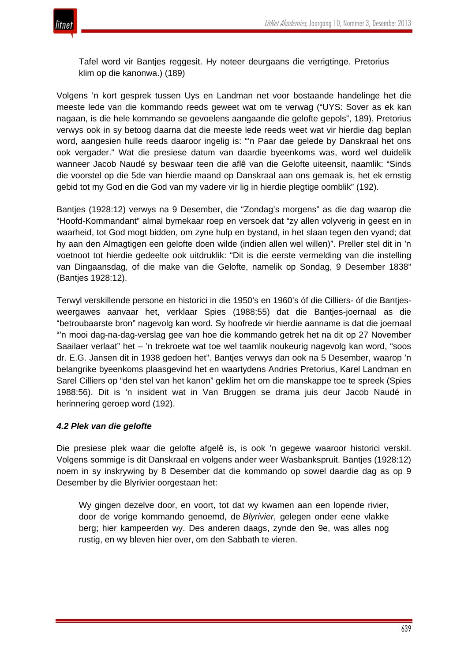

Tafel word vir Bantjes reggesit. Hy noteer deurgaans die verrigtinge. Pretorius klim op die kanonwa.) (189)

Volgens 'n kort gesprek tussen Uys en Landman net voor bostaande handelinge het die meeste lede van die kommando reeds geweet wat om te verwag ("UYS: Sover as ek kan nagaan, is die hele kommando se gevoelens aangaande die gelofte gepols", 189). Pretorius verwys ook in sy betoog daarna dat die meeste lede reeds weet wat vir hierdie dag beplan word, aangesien hulle reeds daaroor ingelig is: "'n Paar dae gelede by Danskraal het ons ook vergader." Wat die presiese datum van daardie byeenkoms was, word wel duidelik wanneer Jacob Naudé sy beswaar teen die aflê van die Gelofte uiteensit, naamlik: "Sinds die voorstel op die 5de van hierdie maand op Danskraal aan ons gemaak is, het ek ernstig gebid tot my God en die God van my vadere vir lig in hierdie plegtige oomblik" (192).

Bantjes (1928:12) verwys na 9 Desember, die "Zondag's morgens" as die dag waarop die "Hoofd-Kommandant" almal bymekaar roep en versoek dat "zy allen volyverig in geest en in waarheid, tot God mogt bidden, om zyne hulp en bystand, in het slaan tegen den vyand; dat hy aan den Almagtigen een gelofte doen wilde (indien allen wel willen)". Preller stel dit in 'n voetnoot tot hierdie gedeelte ook uitdruklik: "Dit is die eerste vermelding van die instelling van Dingaansdag, of die make van die Gelofte, namelik op Sondag, 9 Desember 1838" (Bantjes 1928:12).

Terwyl verskillende persone en historici in die 1950's en 1960's óf die Cilliers- óf die Bantjesweergawes aanvaar het, verklaar Spies (1988:55) dat die Bantjes-joernaal as die "betroubaarste bron" nagevolg kan word. Sy hoofrede vir hierdie aanname is dat die joernaal "'n mooi dag-na-dag-verslag gee van hoe die kommando getrek het na dit op 27 November Saailaer verlaat" het – 'n trekroete wat toe wel taamlik noukeurig nagevolg kan word, "soos dr. E.G. Jansen dit in 1938 gedoen het". Bantjes verwys dan ook na 5 Desember, waarop 'n belangrike byeenkoms plaasgevind het en waartydens Andries Pretorius, Karel Landman en Sarel Cilliers op "den stel van het kanon" geklim het om die manskappe toe te spreek (Spies 1988:56). Dit is 'n insident wat in Van Bruggen se drama juis deur Jacob Naudé in herinnering geroep word (192).

### *4.2 Plek van die gelofte*

Die presiese plek waar die gelofte afgelê is, is ook 'n gegewe waaroor historici verskil. Volgens sommige is dit Danskraal en volgens ander weer Wasbankspruit. Bantjes (1928:12) noem in sy inskrywing by 8 Desember dat die kommando op sowel daardie dag as op 9 Desember by die Blyrivier oorgestaan het:

Wy gingen dezelve door, en voort, tot dat wy kwamen aan een lopende rivier, door de vorige kommando genoemd, de *Blyrivier*, gelegen onder eene vlakke berg; hier kampeerden wy. Des anderen daags, zynde den 9e, was alles nog rustig, en wy bleven hier over, om den Sabbath te vieren.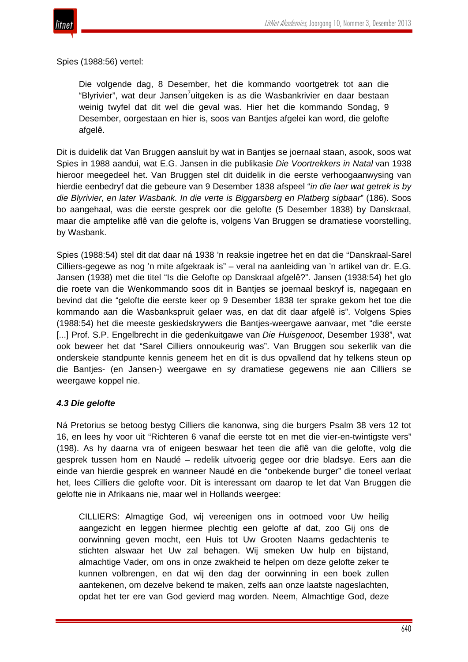

Spies (1988:56) vertel:

Die volgende dag, 8 Desember, het die kommando voortgetrek tot aan die "Blyrivier", wat deur Jansen<sup>7</sup>uitgeken is as die Wasbankrivier en daar bestaan weinig twyfel dat dit wel die geval was. Hier het die kommando Sondag, 9 Desember, oorgestaan en hier is, soos van Bantjes afgelei kan word, die gelofte afgelê.

Dit is duidelik dat Van Bruggen aansluit by wat in Bantjes se joernaal staan, asook, soos wat Spies in 1988 aandui, wat E.G. Jansen in die publikasie *Die Voortrekkers in Natal* van 1938 hieroor meegedeel het. Van Bruggen stel dit duidelik in die eerste verhoogaanwysing van hierdie eenbedryf dat die gebeure van 9 Desember 1838 afspeel "*in die laer wat getrek is by die Blyrivier, en later Wasbank. In die verte is Biggarsberg en Platberg sigbaar*" (186). Soos bo aangehaal, was die eerste gesprek oor die gelofte (5 Desember 1838) by Danskraal, maar die amptelike aflê van die gelofte is, volgens Van Bruggen se dramatiese voorstelling, by Wasbank.

Spies (1988:54) stel dit dat daar ná 1938 'n reaksie ingetree het en dat die "Danskraal-Sarel Cilliers-gegewe as nog 'n mite afgekraak is" – veral na aanleiding van 'n artikel van dr. E.G. Jansen (1938) met die titel "Is die Gelofte op Danskraal afgelê?". Jansen (1938:54) het glo die roete van die Wenkommando soos dit in Bantjes se joernaal beskryf is, nagegaan en bevind dat die "gelofte die eerste keer op 9 Desember 1838 ter sprake gekom het toe die kommando aan die Wasbankspruit gelaer was, en dat dit daar afgelê is". Volgens Spies (1988:54) het die meeste geskiedskrywers die Bantjes-weergawe aanvaar, met "die eerste [...] Prof. S.P. Engelbrecht in die gedenkuitgawe van *Die Huisgenoot*, Desember 1938", wat ook beweer het dat "Sarel Cilliers onnoukeurig was". Van Bruggen sou sekerlik van die onderskeie standpunte kennis geneem het en dit is dus opvallend dat hy telkens steun op die Bantjes- (en Jansen-) weergawe en sy dramatiese gegewens nie aan Cilliers se weergawe koppel nie.

### *4.3 Die gelofte*

Ná Pretorius se betoog bestyg Cilliers die kanonwa, sing die burgers Psalm 38 vers 12 tot 16, en lees hy voor uit "Richteren 6 vanaf die eerste tot en met die vier-en-twintigste vers" (198). As hy daarna vra of enigeen beswaar het teen die aflê van die gelofte, volg die gesprek tussen hom en Naudé – redelik uitvoerig gegee oor drie bladsye. Eers aan die einde van hierdie gesprek en wanneer Naudé en die "onbekende burger" die toneel verlaat het, lees Cilliers die gelofte voor. Dit is interessant om daarop te let dat Van Bruggen die gelofte nie in Afrikaans nie, maar wel in Hollands weergee:

CILLIERS: Almagtige God, wij vereenigen ons in ootmoed voor Uw heilig aangezicht en leggen hiermee plechtig een gelofte af dat, zoo Gij ons de oorwinning geven mocht, een Huis tot Uw Grooten Naams gedachtenis te stichten alswaar het Uw zal behagen. Wij smeken Uw hulp en bijstand, almachtige Vader, om ons in onze zwakheid te helpen om deze gelofte zeker te kunnen volbrengen, en dat wij den dag der oorwinning in een boek zullen aantekenen, om dezelve bekend te maken, zelfs aan onze laatste nageslachten, opdat het ter ere van God gevierd mag worden. Neem, Almachtige God, deze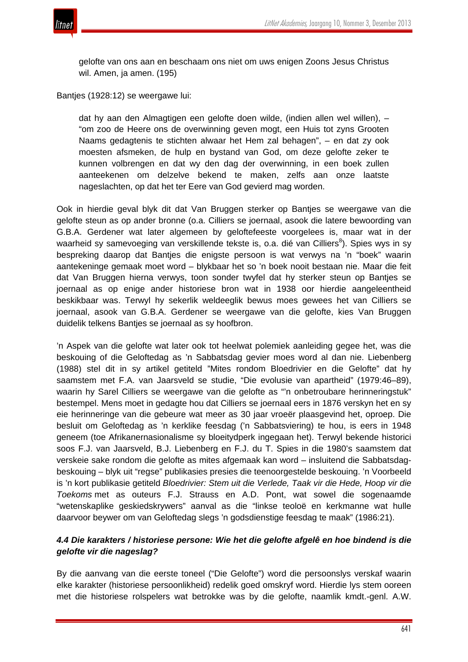

gelofte van ons aan en beschaam ons niet om uws enigen Zoons Jesus Christus wil. Amen, ja amen. (195)

Bantjes (1928:12) se weergawe lui:

dat hy aan den Almagtigen een gelofte doen wilde, (indien allen wel willen), – "om zoo de Heere ons de overwinning geven mogt, een Huis tot zyns Grooten Naams gedagtenis te stichten alwaar het Hem zal behagen", – en dat zy ook moesten afsmeken, de hulp en bystand van God, om deze gelofte zeker te kunnen volbrengen en dat wy den dag der overwinning, in een boek zullen aanteekenen om delzelve bekend te maken, zelfs aan onze laatste nageslachten, op dat het ter Eere van God gevierd mag worden.

Ook in hierdie geval blyk dit dat Van Bruggen sterker op Bantjes se weergawe van die gelofte steun as op ander bronne (o.a. Cilliers se joernaal, asook die latere bewoording van G.B.A. Gerdener wat later algemeen by geloftefeeste voorgelees is, maar wat in der waarheid sy samevoeging van verskillende tekste is, o.a. dié van Cilliers<sup>8</sup>). Spies wys in sy bespreking daarop dat Bantjes die enigste persoon is wat verwys na 'n "boek" waarin aantekeninge gemaak moet word – blykbaar het so 'n boek nooit bestaan nie. Maar die feit dat Van Bruggen hierna verwys, toon sonder twyfel dat hy sterker steun op Bantjes se joernaal as op enige ander historiese bron wat in 1938 oor hierdie aangeleentheid beskikbaar was. Terwyl hy sekerlik weldeeglik bewus moes gewees het van Cilliers se joernaal, asook van G.B.A. Gerdener se weergawe van die gelofte, kies Van Bruggen duidelik telkens Bantjes se joernaal as sy hoofbron.

'n Aspek van die gelofte wat later ook tot heelwat polemiek aanleiding gegee het, was die beskouing of die Geloftedag as 'n Sabbatsdag gevier moes word al dan nie. Liebenberg (1988) stel dit in sy artikel getiteld "Mites rondom Bloedrivier en die Gelofte" dat hy saamstem met F.A. van Jaarsveld se studie, "Die evolusie van apartheid" (1979:46–89), waarin hy Sarel Cilliers se weergawe van die gelofte as "'n onbetroubare herinneringstuk" bestempel. Mens moet in gedagte hou dat Cilliers se joernaal eers in 1876 verskyn het en sy eie herinneringe van die gebeure wat meer as 30 jaar vroeër plaasgevind het, oproep. Die besluit om Geloftedag as 'n kerklike feesdag ('n Sabbatsviering) te hou, is eers in 1948 geneem (toe Afrikanernasionalisme sy bloeitydperk ingegaan het). Terwyl bekende historici soos F.J. van Jaarsveld, B.J. Liebenberg en F.J. du T. Spies in die 1980's saamstem dat verskeie sake rondom die gelofte as mites afgemaak kan word – insluitend die Sabbatsdagbeskouing – blyk uit "regse" publikasies presies die teenoorgestelde beskouing. 'n Voorbeeld is 'n kort publikasie getiteld *Bloedrivier: Stem uit die Verlede, Taak vir die Hede, Hoop vir die Toekoms* met as outeurs F.J. Strauss en A.D. Pont, wat sowel die sogenaamde "wetenskaplike geskiedskrywers" aanval as die "linkse teoloë en kerkmanne wat hulle daarvoor beywer om van Geloftedag slegs 'n godsdienstige feesdag te maak" (1986:21).

# *4.4 Die karakters / historiese persone: Wie het die gelofte afgelê en hoe bindend is die gelofte vir die nageslag?*

By die aanvang van die eerste toneel ("Die Gelofte") word die persoonslys verskaf waarin elke karakter (historiese persoonlikheid) redelik goed omskryf word. Hierdie lys stem ooreen met die historiese rolspelers wat betrokke was by die gelofte, naamlik kmdt.-genl. A.W.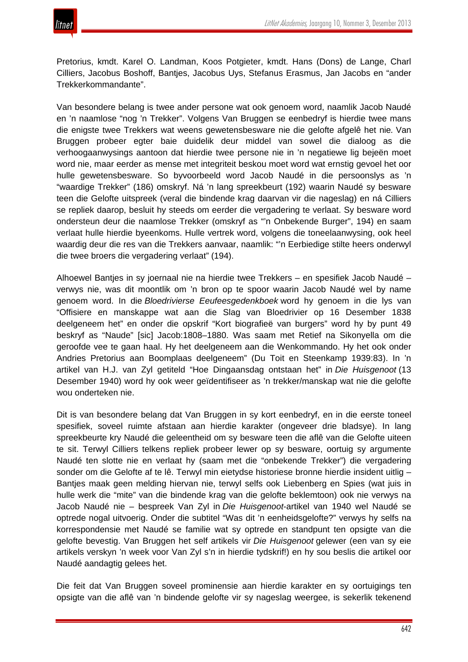Pretorius, kmdt. Karel O. Landman, Koos Potgieter, kmdt. Hans (Dons) de Lange, Charl Cilliers, Jacobus Boshoff, Bantjes, Jacobus Uys, Stefanus Erasmus, Jan Jacobs en "ander Trekkerkommandante".

Van besondere belang is twee ander persone wat ook genoem word, naamlik Jacob Naudé en 'n naamlose "nog 'n Trekker". Volgens Van Bruggen se eenbedryf is hierdie twee mans die enigste twee Trekkers wat weens gewetensbesware nie die gelofte afgelê het nie*.* Van Bruggen probeer egter baie duidelik deur middel van sowel die dialoog as die verhoogaanwysings aantoon dat hierdie twee persone nie in 'n negatiewe lig bejeën moet word nie, maar eerder as mense met integriteit beskou moet word wat ernstig gevoel het oor hulle gewetensbesware. So byvoorbeeld word Jacob Naudé in die persoonslys as 'n "waardige Trekker" (186) omskryf. Ná 'n lang spreekbeurt (192) waarin Naudé sy besware teen die Gelofte uitspreek (veral die bindende krag daarvan vir die nageslag) en ná Cilliers se repliek daarop, besluit hy steeds om eerder die vergadering te verlaat. Sy besware word ondersteun deur die naamlose Trekker (omskryf as "'n Onbekende Burger", 194) en saam verlaat hulle hierdie byeenkoms. Hulle vertrek word, volgens die toneelaanwysing, ook heel waardig deur die res van die Trekkers aanvaar, naamlik: "'n Eerbiedige stilte heers onderwyl die twee broers die vergadering verlaat" (194).

Alhoewel Bantjes in sy joernaal nie na hierdie twee Trekkers – en spesifiek Jacob Naudé – verwys nie, was dit moontlik om 'n bron op te spoor waarin Jacob Naudé wel by name genoem word. In die *Bloedrivierse Eeufeesgedenkboek* word hy genoem in die lys van "Offisiere en manskappe wat aan die Slag van Bloedrivier op 16 Desember 1838 deelgeneem het" en onder die opskrif "Kort biografieë van burgers" word hy by punt 49 beskryf as "Naude" [sic] Jacob:1808–1880. Was saam met Retief na Sikonyella om die geroofde vee te gaan haal. Hy het deelgeneem aan die Wenkommando. Hy het ook onder Andries Pretorius aan Boomplaas deelgeneem" (Du Toit en Steenkamp 1939:83). In 'n artikel van H.J. van Zyl getiteld "Hoe Dingaansdag ontstaan het" in *Die Huisgenoot* (13 Desember 1940) word hy ook weer geïdentifiseer as 'n trekker/manskap wat nie die gelofte wou onderteken nie.

Dit is van besondere belang dat Van Bruggen in sy kort eenbedryf, en in die eerste toneel spesifiek, soveel ruimte afstaan aan hierdie karakter (ongeveer drie bladsye). In lang spreekbeurte kry Naudé die geleentheid om sy besware teen die aflê van die Gelofte uiteen te sit. Terwyl Cilliers telkens repliek probeer lewer op sy besware, oortuig sy argumente Naudé ten slotte nie en verlaat hy (saam met die "onbekende Trekker") die vergadering sonder om die Gelofte af te lê. Terwyl min eietydse historiese bronne hierdie insident uitlig – Bantjes maak geen melding hiervan nie, terwyl selfs ook Liebenberg en Spies (wat juis in hulle werk die "mite" van die bindende krag van die gelofte beklemtoon) ook nie verwys na Jacob Naudé nie – bespreek Van Zyl in *Die Huisgenoot*-artikel van 1940 wel Naudé se optrede nogal uitvoerig. Onder die subtitel "Was dit 'n eenheidsgelofte?" verwys hy selfs na korrespondensie met Naudé se familie wat sy optrede en standpunt ten opsigte van die gelofte bevestig. Van Bruggen het self artikels vir *Die Huisgenoot* gelewer (een van sy eie artikels verskyn 'n week voor Van Zyl s'n in hierdie tydskrif!) en hy sou beslis die artikel oor Naudé aandagtig gelees het.

Die feit dat Van Bruggen soveel prominensie aan hierdie karakter en sy oortuigings ten opsigte van die aflê van 'n bindende gelofte vir sy nageslag weergee, is sekerlik tekenend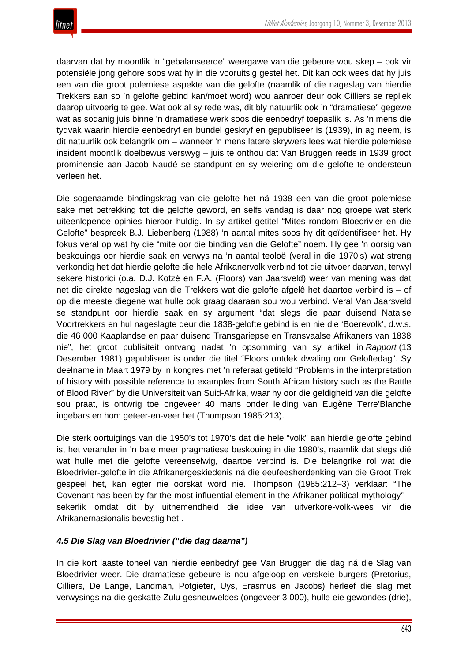daarvan dat hy moontlik 'n "gebalanseerde" weergawe van die gebeure wou skep – ook vir potensiële jong gehore soos wat hy in die vooruitsig gestel het. Dit kan ook wees dat hy juis een van die groot polemiese aspekte van die gelofte (naamlik of die nageslag van hierdie Trekkers aan so 'n gelofte gebind kan/moet word) wou aanroer deur ook Cilliers se repliek daarop uitvoerig te gee. Wat ook al sy rede was, dit bly natuurlik ook 'n "dramatiese" gegewe wat as sodanig juis binne 'n dramatiese werk soos die eenbedryf toepaslik is. As 'n mens die tydvak waarin hierdie eenbedryf en bundel geskryf en gepubliseer is (1939), in ag neem, is dit natuurlik ook belangrik om – wanneer 'n mens latere skrywers lees wat hierdie polemiese insident moontlik doelbewus verswyg – juis te onthou dat Van Bruggen reeds in 1939 groot prominensie aan Jacob Naudé se standpunt en sy weiering om die gelofte te ondersteun verleen het.

Die sogenaamde bindingskrag van die gelofte het ná 1938 een van die groot polemiese sake met betrekking tot die gelofte geword, en selfs vandag is daar nog groepe wat sterk uiteenlopende opinies hieroor huldig. In sy artikel getitel "Mites rondom Bloedrivier en die Gelofte" bespreek B.J. Liebenberg (1988) 'n aantal mites soos hy dit geïdentifiseer het. Hy fokus veral op wat hy die "mite oor die binding van die Gelofte" noem. Hy gee 'n oorsig van beskouings oor hierdie saak en verwys na 'n aantal teoloë (veral in die 1970's) wat streng verkondig het dat hierdie gelofte die hele Afrikanervolk verbind tot die uitvoer daarvan, terwyl sekere historici (o.a. D.J. Kotzé en F.A. (Floors) van Jaarsveld) weer van mening was dat net die direkte nageslag van die Trekkers wat die gelofte afgelê het daartoe verbind is – of op die meeste diegene wat hulle ook graag daaraan sou wou verbind. Veral Van Jaarsveld se standpunt oor hierdie saak en sy argument "dat slegs die paar duisend Natalse Voortrekkers en hul nageslagte deur die 1838-gelofte gebind is en nie die 'Boerevolk', d.w.s. die 46 000 Kaaplandse en paar duisend Transgariepse en Transvaalse Afrikaners van 1838 nie", het groot publisiteit ontvang nadat 'n opsomming van sy artikel in *Rapport* (13 Desember 1981) gepubliseer is onder die titel "Floors ontdek dwaling oor Geloftedag". Sy deelname in Maart 1979 by 'n kongres met 'n referaat getiteld "Problems in the interpretation of history with possible reference to examples from South African history such as the Battle of Blood River" by die Universiteit van Suid-Afrika, waar hy oor die geldigheid van die gelofte sou praat, is ontwrig toe ongeveer 40 mans onder leiding van Eugène Terre'Blanche ingebars en hom geteer-en-veer het (Thompson 1985:213).

Die sterk oortuigings van die 1950's tot 1970's dat die hele "volk" aan hierdie gelofte gebind is, het verander in 'n baie meer pragmatiese beskouing in die 1980's, naamlik dat slegs dié wat hulle met die gelofte vereenselwig, daartoe verbind is. Die belangrike rol wat die Bloedrivier-gelofte in die Afrikanergeskiedenis ná die eeufeesherdenking van die Groot Trek gespeel het, kan egter nie oorskat word nie. Thompson (1985:212–3) verklaar: "The Covenant has been by far the most influential element in the Afrikaner political mythology" – sekerlik omdat dit by uitnemendheid die idee van uitverkore-volk-wees vir die Afrikanernasionalis bevestig het .

# *4.5 Die Slag van Bloedrivier ("die dag daarna")*

In die kort laaste toneel van hierdie eenbedryf gee Van Bruggen die dag ná die Slag van Bloedrivier weer. Die dramatiese gebeure is nou afgeloop en verskeie burgers (Pretorius, Cilliers, De Lange, Landman, Potgieter, Uys, Erasmus en Jacobs) herleef die slag met verwysings na die geskatte Zulu-gesneuweldes (ongeveer 3 000), hulle eie gewondes (drie),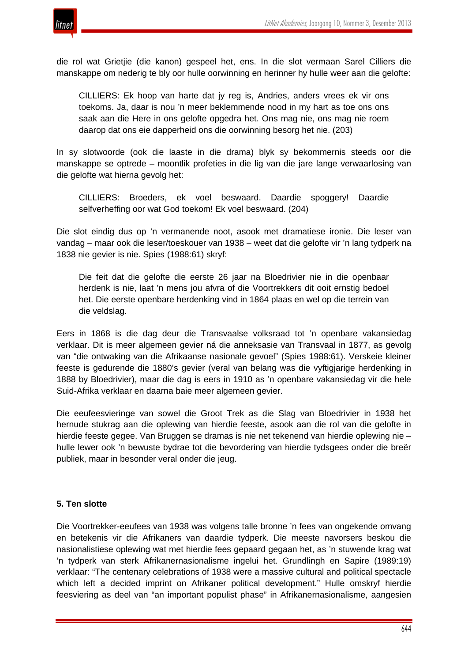

die rol wat Grietjie (die kanon) gespeel het, ens. In die slot vermaan Sarel Cilliers die manskappe om nederig te bly oor hulle oorwinning en herinner hy hulle weer aan die gelofte:

CILLIERS: Ek hoop van harte dat jy reg is, Andries, anders vrees ek vir ons toekoms. Ja, daar is nou 'n meer beklemmende nood in my hart as toe ons ons saak aan die Here in ons gelofte opgedra het. Ons mag nie, ons mag nie roem daarop dat ons eie dapperheid ons die oorwinning besorg het nie. (203)

In sy slotwoorde (ook die laaste in die drama) blyk sy bekommernis steeds oor die manskappe se optrede – moontlik profeties in die lig van die jare lange verwaarlosing van die gelofte wat hierna gevolg het:

CILLIERS: Broeders, ek voel beswaard. Daardie spoggery! Daardie selfverheffing oor wat God toekom! Ek voel beswaard. (204)

Die slot eindig dus op 'n vermanende noot, asook met dramatiese ironie. Die leser van vandag – maar ook die leser/toeskouer van 1938 – weet dat die gelofte vir 'n lang tydperk na 1838 nie gevier is nie. Spies (1988:61) skryf:

Die feit dat die gelofte die eerste 26 jaar na Bloedrivier nie in die openbaar herdenk is nie, laat 'n mens jou afvra of die Voortrekkers dit ooit ernstig bedoel het. Die eerste openbare herdenking vind in 1864 plaas en wel op die terrein van die veldslag.

Eers in 1868 is die dag deur die Transvaalse volksraad tot 'n openbare vakansiedag verklaar. Dit is meer algemeen gevier ná die anneksasie van Transvaal in 1877, as gevolg van "die ontwaking van die Afrikaanse nasionale gevoel" (Spies 1988:61). Verskeie kleiner feeste is gedurende die 1880's gevier (veral van belang was die vyftigjarige herdenking in 1888 by Bloedrivier), maar die dag is eers in 1910 as 'n openbare vakansiedag vir die hele Suid-Afrika verklaar en daarna baie meer algemeen gevier.

Die eeufeesvieringe van sowel die Groot Trek as die Slag van Bloedrivier in 1938 het hernude stukrag aan die oplewing van hierdie feeste, asook aan die rol van die gelofte in hierdie feeste gegee. Van Bruggen se dramas is nie net tekenend van hierdie oplewing nie – hulle lewer ook 'n bewuste bydrae tot die bevordering van hierdie tydsgees onder die breër publiek, maar in besonder veral onder die jeug.

### **5. Ten slotte**

Die Voortrekker-eeufees van 1938 was volgens talle bronne 'n fees van ongekende omvang en betekenis vir die Afrikaners van daardie tydperk. Die meeste navorsers beskou die nasionalistiese oplewing wat met hierdie fees gepaard gegaan het, as 'n stuwende krag wat 'n tydperk van sterk Afrikanernasionalisme ingelui het. Grundlingh en Sapire (1989:19) verklaar: "The centenary celebrations of 1938 were a massive cultural and political spectacle which left a decided imprint on Afrikaner political development." Hulle omskryf hierdie feesviering as deel van "an important populist phase" in Afrikanernasionalisme, aangesien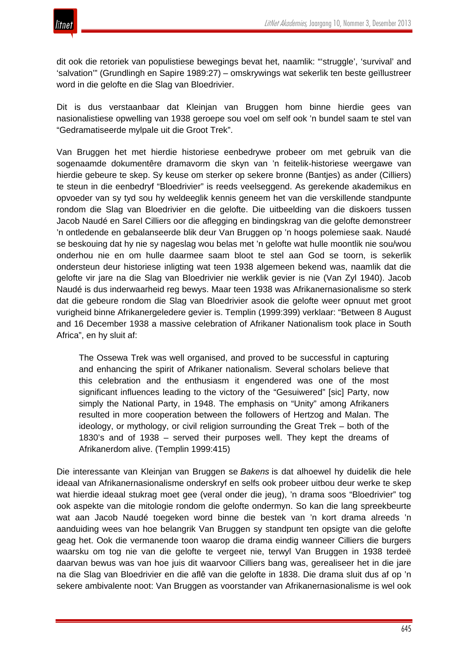

dit ook die retoriek van populistiese bewegings bevat het, naamlik: "'struggle', 'survival' and 'salvation'" (Grundlingh en Sapire 1989:27) – omskrywings wat sekerlik ten beste geïllustreer word in die gelofte en die Slag van Bloedrivier.

Dit is dus verstaanbaar dat Kleinjan van Bruggen hom binne hierdie gees van nasionalistiese opwelling van 1938 geroepe sou voel om self ook 'n bundel saam te stel van "Gedramatiseerde mylpale uit die Groot Trek".

Van Bruggen het met hierdie historiese eenbedrywe probeer om met gebruik van die sogenaamde dokumentêre dramavorm die skyn van 'n feitelik-historiese weergawe van hierdie gebeure te skep. Sy keuse om sterker op sekere bronne (Bantjes) as ander (Cilliers) te steun in die eenbedryf "Bloedrivier" is reeds veelseggend. As gerekende akademikus en opvoeder van sy tyd sou hy weldeeglik kennis geneem het van die verskillende standpunte rondom die Slag van Bloedrivier en die gelofte. Die uitbeelding van die diskoers tussen Jacob Naudé en Sarel Cilliers oor die aflegging en bindingskrag van die gelofte demonstreer 'n ontledende en gebalanseerde blik deur Van Bruggen op 'n hoogs polemiese saak. Naudé se beskouing dat hy nie sy nageslag wou belas met 'n gelofte wat hulle moontlik nie sou/wou onderhou nie en om hulle daarmee saam bloot te stel aan God se toorn, is sekerlik ondersteun deur historiese inligting wat teen 1938 algemeen bekend was, naamlik dat die gelofte vir jare na die Slag van Bloedrivier nie werklik gevier is nie (Van Zyl 1940). Jacob Naudé is dus inderwaarheid reg bewys. Maar teen 1938 was Afrikanernasionalisme so sterk dat die gebeure rondom die Slag van Bloedrivier asook die gelofte weer opnuut met groot vurigheid binne Afrikanergeledere gevier is. Templin (1999:399) verklaar: "Between 8 August and 16 December 1938 a massive celebration of Afrikaner Nationalism took place in South Africa", en hy sluit af:

The Ossewa Trek was well organised, and proved to be successful in capturing and enhancing the spirit of Afrikaner nationalism. Several scholars believe that this celebration and the enthusiasm it engendered was one of the most significant influences leading to the victory of the "Gesuiwered" [sic] Party, now simply the National Party, in 1948. The emphasis on "Unity" among Afrikaners resulted in more cooperation between the followers of Hertzog and Malan. The ideology, or mythology, or civil religion surrounding the Great Trek – both of the 1830's and of 1938 – served their purposes well. They kept the dreams of Afrikanerdom alive. (Templin 1999:415)

Die interessante van Kleinjan van Bruggen se *Bakens* is dat alhoewel hy duidelik die hele ideaal van Afrikanernasionalisme onderskryf en selfs ook probeer uitbou deur werke te skep wat hierdie ideaal stukrag moet gee (veral onder die jeug), 'n drama soos "Bloedrivier" tog ook aspekte van die mitologie rondom die gelofte ondermyn. So kan die lang spreekbeurte wat aan Jacob Naudé toegeken word binne die bestek van 'n kort drama alreeds 'n aanduiding wees van hoe belangrik Van Bruggen sy standpunt ten opsigte van die gelofte geag het. Ook die vermanende toon waarop die drama eindig wanneer Cilliers die burgers waarsku om tog nie van die gelofte te vergeet nie, terwyl Van Bruggen in 1938 terdeë daarvan bewus was van hoe juis dit waarvoor Cilliers bang was, gerealiseer het in die jare na die Slag van Bloedrivier en die aflê van die gelofte in 1838. Die drama sluit dus af op 'n sekere ambivalente noot: Van Bruggen as voorstander van Afrikanernasionalisme is wel ook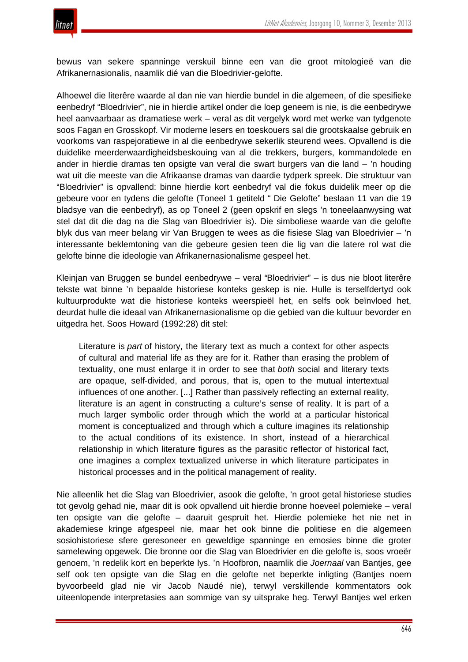

bewus van sekere spanninge verskuil binne een van die groot mitologieë van die Afrikanernasionalis, naamlik dié van die Bloedrivier-gelofte.

Alhoewel die literêre waarde al dan nie van hierdie bundel in die algemeen, of die spesifieke eenbedryf "Bloedrivier", nie in hierdie artikel onder die loep geneem is nie, is die eenbedrywe heel aanvaarbaar as dramatiese werk – veral as dit vergelyk word met werke van tydgenote soos Fagan en Grosskopf. Vir moderne lesers en toeskouers sal die grootskaalse gebruik en voorkoms van raspejoratiewe in al die eenbedrywe sekerlik steurend wees. Opvallend is die duidelike meerderwaardigheidsbeskouing van al die trekkers, burgers, kommandolede en ander in hierdie dramas ten opsigte van veral die swart burgers van die land – 'n houding wat uit die meeste van die Afrikaanse dramas van daardie tydperk spreek. Die struktuur van "Bloedrivier" is opvallend: binne hierdie kort eenbedryf val die fokus duidelik meer op die gebeure voor en tydens die gelofte (Toneel 1 getiteld " Die Gelofte" beslaan 11 van die 19 bladsye van die eenbedryf), as op Toneel 2 (geen opskrif en slegs 'n toneelaanwysing wat stel dat dit die dag na die Slag van Bloedrivier is). Die simboliese waarde van die gelofte blyk dus van meer belang vir Van Bruggen te wees as die fisiese Slag van Bloedrivier – 'n interessante beklemtoning van die gebeure gesien teen die lig van die latere rol wat die gelofte binne die ideologie van Afrikanernasionalisme gespeel het.

Kleinjan van Bruggen se bundel eenbedrywe – veral *"*Bloedrivier" – is dus nie bloot literêre tekste wat binne 'n bepaalde historiese konteks geskep is nie. Hulle is terselfdertyd ook kultuurprodukte wat die historiese konteks weerspieël het, en selfs ook beïnvloed het, deurdat hulle die ideaal van Afrikanernasionalisme op die gebied van die kultuur bevorder en uitgedra het. Soos Howard (1992:28) dit stel:

Literature is *part* of history, the literary text as much a context for other aspects of cultural and material life as they are for it. Rather than erasing the problem of textuality, one must enlarge it in order to see that *both* social and literary texts are opaque, self-divided, and porous, that is, open to the mutual intertextual influences of one another. [...] Rather than passively reflecting an external reality, literature is an agent in constructing a culture's sense of reality. It is part of a much larger symbolic order through which the world at a particular historical moment is conceptualized and through which a culture imagines its relationship to the actual conditions of its existence. In short, instead of a hierarchical relationship in which literature figures as the parasitic reflector of historical fact, one imagines a complex textualized universe in which literature participates in historical processes and in the political management of reality.

Nie alleenlik het die Slag van Bloedrivier, asook die gelofte, 'n groot getal historiese studies tot gevolg gehad nie, maar dit is ook opvallend uit hierdie bronne hoeveel polemieke – veral ten opsigte van die gelofte – daaruit gespruit het. Hierdie polemieke het nie net in akademiese kringe afgespeel nie, maar het ook binne die politiese en die algemeen sosiohistoriese sfere geresoneer en geweldige spanninge en emosies binne die groter samelewing opgewek. Die bronne oor die Slag van Bloedrivier en die gelofte is, soos vroeër genoem, 'n redelik kort en beperkte lys. 'n Hoofbron, naamlik die *Joernaal* van Bantjes, gee self ook ten opsigte van die Slag en die gelofte net beperkte inligting (Bantjes noem byvoorbeeld glad nie vir Jacob Naudé nie), terwyl verskillende kommentators ook uiteenlopende interpretasies aan sommige van sy uitsprake heg. Terwyl Bantjes wel erken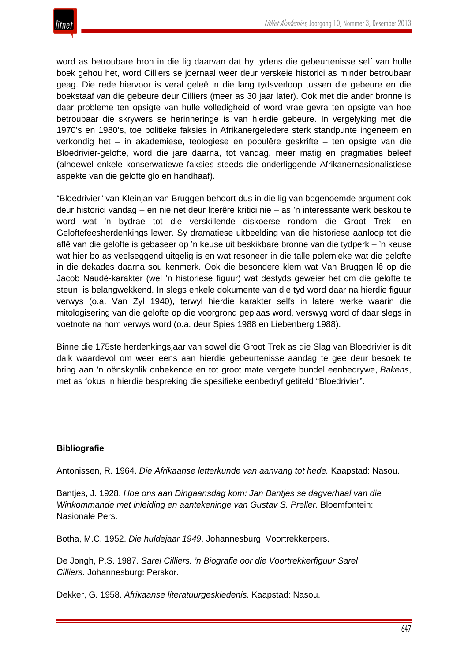

word as betroubare bron in die lig daarvan dat hy tydens die gebeurtenisse self van hulle boek gehou het, word Cilliers se joernaal weer deur verskeie historici as minder betroubaar geag. Die rede hiervoor is veral geleë in die lang tydsverloop tussen die gebeure en die boekstaaf van die gebeure deur Cilliers (meer as 30 jaar later). Ook met die ander bronne is daar probleme ten opsigte van hulle volledigheid of word vrae gevra ten opsigte van hoe betroubaar die skrywers se herinneringe is van hierdie gebeure. In vergelyking met die 1970's en 1980's, toe politieke faksies in Afrikanergeledere sterk standpunte ingeneem en verkondig het – in akademiese, teologiese en populêre geskrifte – ten opsigte van die Bloedrivier-gelofte, word die jare daarna, tot vandag, meer matig en pragmaties beleef (alhoewel enkele konserwatiewe faksies steeds die onderliggende Afrikanernasionalistiese aspekte van die gelofte glo en handhaaf).

"Bloedrivier" van Kleinjan van Bruggen behoort dus in die lig van bogenoemde argument ook deur historici vandag – en nie net deur literêre kritici nie – as 'n interessante werk beskou te word wat 'n bydrae tot die verskillende diskoerse rondom die Groot Trek- en Geloftefeesherdenkings lewer. Sy dramatiese uitbeelding van die historiese aanloop tot die aflê van die gelofte is gebaseer op 'n keuse uit beskikbare bronne van die tydperk – 'n keuse wat hier bo as veelseggend uitgelig is en wat resoneer in die talle polemieke wat die gelofte in die dekades daarna sou kenmerk. Ook die besondere klem wat Van Bruggen lê op die Jacob Naudé-karakter (wel 'n historiese figuur) wat destyds geweier het om die gelofte te steun, is belangwekkend. In slegs enkele dokumente van die tyd word daar na hierdie figuur verwys (o.a. Van Zyl 1940), terwyl hierdie karakter selfs in latere werke waarin die mitologisering van die gelofte op die voorgrond geplaas word, verswyg word of daar slegs in voetnote na hom verwys word (o.a. deur Spies 1988 en Liebenberg 1988).

Binne die 175ste herdenkingsjaar van sowel die Groot Trek as die Slag van Bloedrivier is dit dalk waardevol om weer eens aan hierdie gebeurtenisse aandag te gee deur besoek te bring aan 'n oënskynlik onbekende en tot groot mate vergete bundel eenbedrywe, *Bakens*, met as fokus in hierdie bespreking die spesifieke eenbedryf getiteld "Bloedrivier".

### **Bibliografie**

Antonissen, R. 1964. *Die Afrikaanse letterkunde van aanvang tot hede.* Kaapstad: Nasou.

Bantjes, J. 1928. *Hoe ons aan Dingaansdag kom: Jan Bantjes se dagverhaal van die Winkommande met inleiding en aantekeninge van Gustav S. Preller*. Bloemfontein: Nasionale Pers.

Botha, M.C. 1952. *Die huldejaar 1949*. Johannesburg: Voortrekkerpers.

De Jongh, P.S. 1987. *Sarel Cilliers. 'n Biografie oor die Voortrekkerfiguur Sarel Cilliers.* Johannesburg: Perskor.

Dekker, G. 1958. *Afrikaanse literatuurgeskiedenis.* Kaapstad: Nasou.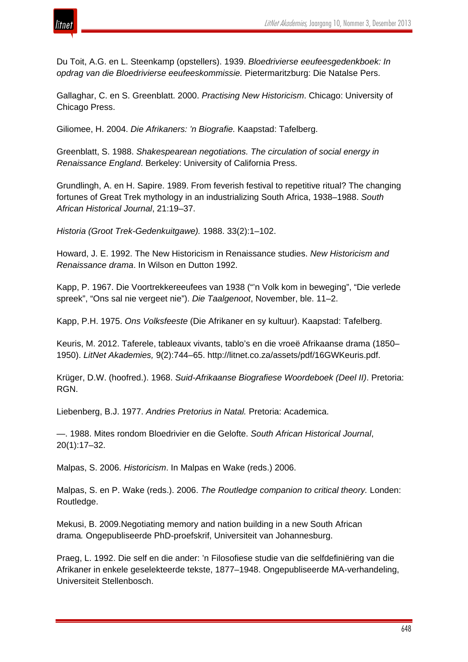

Du Toit, A.G. en L. Steenkamp (opstellers). 1939. *Bloedrivierse eeufeesgedenkboek: In opdrag van die Bloedrivierse eeufeeskommissie.* Pietermaritzburg: Die Natalse Pers.

Gallaghar, C. en S. Greenblatt. 2000. *Practising New Historicism*. Chicago: University of Chicago Press.

Giliomee, H. 2004. *Die Afrikaners: 'n Biografie.* Kaapstad: Tafelberg.

Greenblatt, S. 1988. *Shakespearean negotiations. The circulation of social energy in Renaissance England*. Berkeley: University of California Press.

Grundlingh, A. en H. Sapire. 1989. From feverish festival to repetitive ritual? The changing fortunes of Great Trek mythology in an industrializing South Africa, 1938–1988. *South African Historical Journal*, 21:19–37.

*Historia (Groot Trek-Gedenkuitgawe).* 1988. 33(2):1–102.

Howard, J. E. 1992. The New Historicism in Renaissance studies. *New Historicism and Renaissance drama*. In Wilson en Dutton 1992.

Kapp, P. 1967. Die Voortrekkereeufees van 1938 ("'n Volk kom in beweging", "Die verlede spreek", "Ons sal nie vergeet nie"). *Die Taalgenoot*, November, ble. 11–2.

Kapp, P.H. 1975. *Ons Volksfeeste* (Die Afrikaner en sy kultuur). Kaapstad: Tafelberg.

Keuris, M. 2012. Taferele, tableaux vivants, tablo's en die vroeë Afrikaanse drama (1850– 1950). *LitNet Akademies,* 9(2):744–65. http://litnet.co.za/assets/pdf/16GWKeuris.pdf.

Krüger, D.W. (hoofred.). 1968. *Suid-Afrikaanse Biografiese Woordeboek (Deel II)*. Pretoria: RGN.

Liebenberg, B.J. 1977. *Andries Pretorius in Natal.* Pretoria: Academica.

—. 1988. Mites rondom Bloedrivier en die Gelofte. *South African Historical Journal*, 20(1):17–32.

Malpas, S. 2006. *Historicism*. In Malpas en Wake (reds.) 2006.

Malpas, S. en P. Wake (reds.). 2006. *The Routledge companion to critical theory.* Londen: Routledge.

Mekusi, B. 2009.Negotiating memory and nation building in a new South African drama*.* Ongepubliseerde PhD-proefskrif, Universiteit van Johannesburg.

Praeg, L. 1992. Die self en die ander: 'n Filosofiese studie van die selfdefiniëring van die Afrikaner in enkele geselekteerde tekste, 1877–1948. Ongepubliseerde MA-verhandeling, Universiteit Stellenbosch.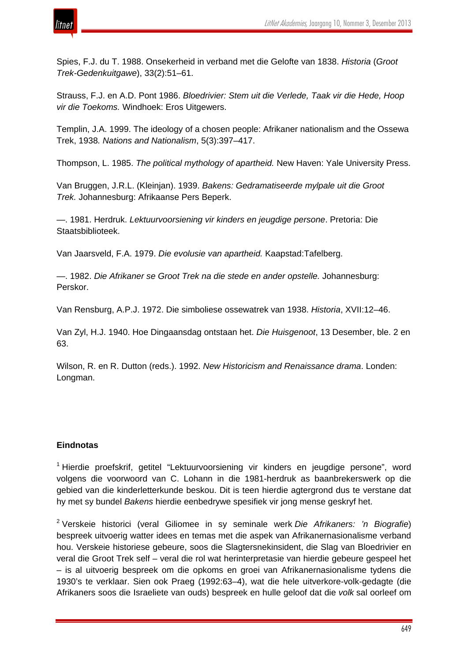

Spies, F.J. du T. 1988. Onsekerheid in verband met die Gelofte van 1838. *Historia* (*Groot Trek-Gedenkuitgawe*), 33(2):51–61.

Strauss, F.J. en A.D. Pont 1986. *Bloedrivier: Stem uit die Verlede, Taak vir die Hede, Hoop vir die Toekoms.* Windhoek: Eros Uitgewers.

Templin, J.A. 1999. The ideology of a chosen people: Afrikaner nationalism and the Ossewa Trek, 1938*. Nations and Nationalism*, 5(3):397–417.

Thompson, L. 1985. *The political mythology of apartheid.* New Haven: Yale University Press.

Van Bruggen, J.R.L. (Kleinjan). 1939. *Bakens: Gedramatiseerde mylpale uit die Groot Trek.* Johannesburg: Afrikaanse Pers Beperk.

—. 1981. Herdruk. *Lektuurvoorsiening vir kinders en jeugdige persone*. Pretoria: Die Staatsbiblioteek.

Van Jaarsveld, F.A. 1979. *Die evolusie van apartheid.* Kaapstad:Tafelberg.

—. 1982. *Die Afrikaner se Groot Trek na die stede en ander opstelle.* Johannesburg: Perskor.

Van Rensburg, A.P.J. 1972. Die simboliese ossewatrek van 1938. *Historia*, XVII:12–46.

Van Zyl, H.J. 1940. Hoe Dingaansdag ontstaan het. *Die Huisgenoot*, 13 Desember, ble. 2 en 63.

Wilson, R. en R. Dutton (reds.). 1992. *New Historicism and Renaissance drama*. Londen: Longman.

### **Eindnotas**

<sup>1</sup> Hierdie proefskrif, getitel "Lektuurvoorsiening vir kinders en jeugdige persone", word volgens die voorwoord van C. Lohann in die 1981-herdruk as baanbrekerswerk op die gebied van die kinderletterkunde beskou. Dit is teen hierdie agtergrond dus te verstane dat hy met sy bundel *Bakens* hierdie eenbedrywe spesifiek vir jong mense geskryf het.

<sup>2</sup> Verskeie historici (veral Giliomee in sy seminale werk *Die Afrikaners: 'n Biografie*) bespreek uitvoerig watter idees en temas met die aspek van Afrikanernasionalisme verband hou. Verskeie historiese gebeure, soos die Slagtersnekinsident, die Slag van Bloedrivier en veral die Groot Trek self – veral die rol wat herinterpretasie van hierdie gebeure gespeel het – is al uitvoerig bespreek om die opkoms en groei van Afrikanernasionalisme tydens die 1930's te verklaar. Sien ook Praeg (1992:63–4), wat die hele uitverkore-volk-gedagte (die Afrikaners soos die Israeliete van ouds) bespreek en hulle geloof dat die *volk* sal oorleef om